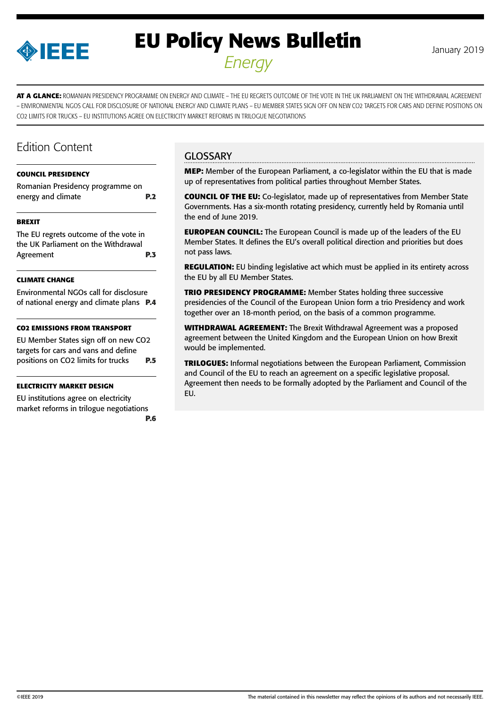

# **EU Policy News Bulletin** January 2019 *Energy*

**AT A GLANCE:** ROMANIAN PRESIDENCY PROGRAMME ON ENERGY AND CLIMATE – THE EU REGRETS OUTCOME OF THE VOTE IN THE UK PARLIAMENT ON THE WITHDRAWAL AGREEMENT – ENVIRONMENTAL NGOS CALL FOR DISCLOSURE OF NATIONAL ENERGY AND CLIMATE PLANS – EU MEMBER STATES SIGN OFF ON NEW CO2 TARGETS FOR CARS AND DEFINE POSITIONS ON CO2 LIMITS FOR TRUCKS – EU INSTITUTIONS AGREE ON ELECTRICITY MARKET REFORMS IN TRILOGUE NEGOTIATIONS

### Edition Content

#### **[COUNCIL PRESIDENCY](#page-1-0)**

| Romanian Presidency programme on |            |
|----------------------------------|------------|
| energy and climate               | <b>P.2</b> |

#### **[BREXIT](#page-2-0)**

[The EU regrets outcome of the vote in](#page-2-0)  [the UK Parliament on the Withdrawal](#page-2-0)  [Agreement](#page-2-0) **P.3**

#### **[CLIMATE CHANGE](#page-3-0)**

[Environmental NGOs call for disclosure](#page-3-0)  [of national energy and climate plans](#page-3-0) **P.4**

#### **[CO2 EMISSIONS FROM TRANSPORT](#page-4-0)**

[EU Member States sign off on new CO2](#page-4-0)  [targets for cars and vans and define](#page-4-0)  [positions on CO2 limits for trucks](#page-4-0) **P.5**

#### **[ELECTRICITY MARKET DESIGN](#page-5-0)**

[EU institutions agree on electricity](#page-5-0)  [market reforms in trilogue negotiations](#page-5-0) **[P.6](#page-5-0)**

#### **GLOSSARY**

**MEP:** Member of the European Parliament, a co-legislator within the EU that is made up of representatives from political parties throughout Member States.

**COUNCIL OF THE EU:** Co-legislator, made up of representatives from Member State Governments. Has a six-month rotating presidency, currently held by Romania until the end of June 2019.

**EUROPEAN COUNCIL:** The European Council is made up of the leaders of the EU Member States. It defines the EU's overall political direction and priorities but does not pass laws.

**REGULATION:** EU binding legislative act which must be applied in its entirety across the EU by all EU Member States.

**TRIO PRESIDENCY PROGRAMME:** Member States holding three successive presidencies of the Council of the European Union form a trio Presidency and work together over an 18-month period, on the basis of a common programme.

**WITHDRAWAL AGREEMENT:** The Brexit Withdrawal Agreement was a proposed agreement between the United Kingdom and the European Union on how Brexit would be implemented.

**TRILOGUES:** Informal negotiations between the European Parliament, Commission and Council of the EU to reach an agreement on a specific legislative proposal. Agreement then needs to be formally adopted by the Parliament and Council of the EU.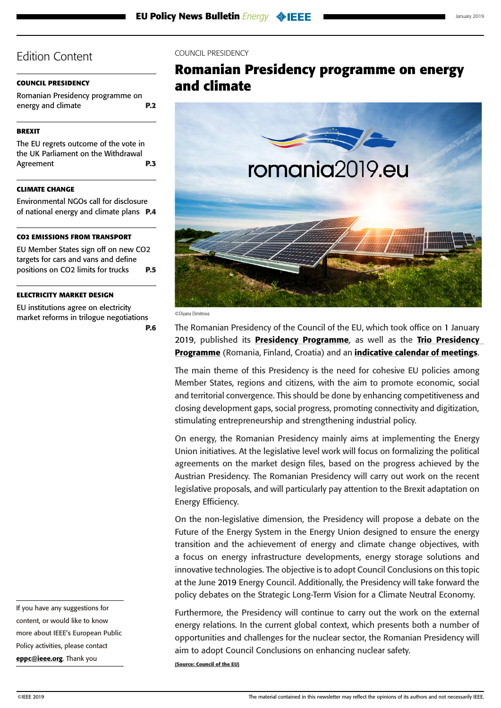#### <span id="page-1-0"></span>**COUNCIL PRESIDENCY**

Romanian Presidency programme on energy and climate **P.2**

#### **[BREXIT](#page-2-0)**

[The EU regrets outcome of the vote in](#page-2-0)  [the UK Parliament on the Withdrawal](#page-2-0)  [Agreement](#page-2-0) **P.3**

#### **[CLIMATE CHANGE](#page-3-0)**

[Environmental NGOs call for disclosure](#page-3-0)  [of national energy and climate plans](#page-3-0) **P.4**

#### **[CO2 EMISSIONS FROM TRANSPORT](#page-4-0)**

[EU Member States sign off on new CO2](#page-4-0)  [targets for cars and vans and define](#page-4-0)  [positions on CO2 limits for trucks](#page-4-0) **P.5**

#### **[ELECTRICITY MARKET DESIGN](#page-5-0)**

[EU institutions agree on electricity](#page-5-0)  [market reforms in trilogue negotiations](#page-5-0) **[P.6](#page-5-0)**

If you have any suggestions for content, or would like to know more about IEEE's European Public Policy activities, please contact [eppc@ieee.org](mailto:eppc%40ieee.org?subject=). Thank you

#### COUNCIL PRESIDENCY

### **Romanian Presidency programme on energy and climate**



©Diyana Dimitrova

The Romanian Presidency of the Council of the EU, which took office on 1 January 2019, published its **[Presidency Programme](https://www.romania2019.eu/wp-content/uploads/2017/11/en_rogramme_ropres2019.pdf)**, as well as the Trio Presidency [Programme](http://data.consilium.europa.eu/doc/document/ST-14518-2018-INIT/en/pdf) (Romania, Finland, Croatia) and an *[indicative calendar of meetings](https://www.consilium.europa.eu/media/37255/romanian-presidency-draft-calendar_181203.pdf)*.

The main theme of this Presidency is the need for cohesive EU policies among Member States, regions and citizens, with the aim to promote economic, social and territorial convergence. This should be done by enhancing competitiveness and closing development gaps, social progress, promoting connectivity and digitization, stimulating entrepreneurship and strengthening industrial policy.

On energy, the Romanian Presidency mainly aims at implementing the Energy Union initiatives. At the legislative level work will focus on formalizing the political agreements on the market design files, based on the progress achieved by the Austrian Presidency. The Romanian Presidency will carry out work on the recent legislative proposals, and will particularly pay attention to the Brexit adaptation on Energy Efficiency.

On the non-legislative dimension, the Presidency will propose a debate on the Future of the Energy System in the Energy Union designed to ensure the energy transition and the achievement of energy and climate change objectives, with a focus on energy infrastructure developments, energy storage solutions and innovative technologies. The objective is to adopt Council Conclusions on this topic at the June 2019 Energy Council. Additionally, the Presidency will take forward the policy debates on the Strategic Long-Term Vision for a Climate Neutral Economy.

Furthermore, the Presidency will continue to carry out the work on the external energy relations. In the current global context, which presents both a number of opportunities and challenges for the nuclear sector, the Romanian Presidency will aim to adopt Council Conclusions on enhancing nuclear safety.

**(Source: Council of the EU)**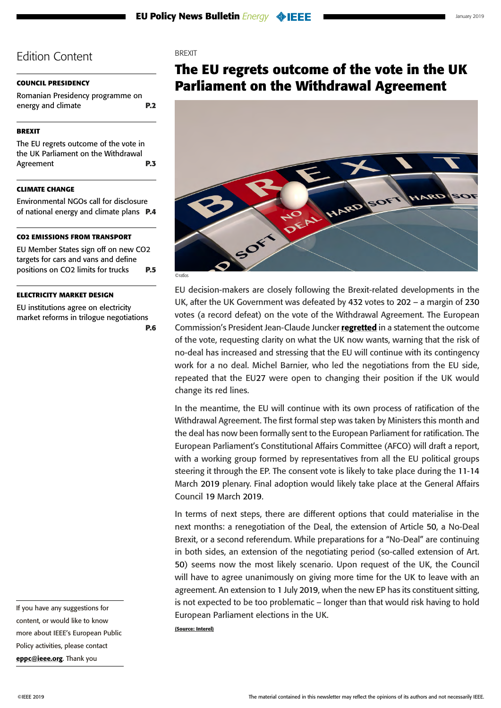#### <span id="page-2-0"></span>**[COUNCIL PRESIDENCY](#page-1-0)**

[Romanian Presidency programme on](#page-1-0)  [energy and climate](#page-1-0) **P.2**

#### **BREXIT**

The EU regrets outcome of the vote in the UK Parliament on the Withdrawal Agreement **P.3**

#### **[CLIMATE CHANGE](#page-3-0)**

[Environmental NGOs call for disclosure](#page-3-0)  [of national energy and climate plans](#page-3-0) **P.4**

#### **[CO2 EMISSIONS FROM TRANSPORT](#page-4-0)**

[EU Member States sign off on new CO2](#page-4-0)  [targets for cars and vans and define](#page-4-0)  [positions on CO2 limits for trucks](#page-4-0) **P.5**

#### **[ELECTRICITY MARKET DESIGN](#page-5-0)**

[EU institutions agree on electricity](#page-5-0)  [market reforms in trilogue negotiations](#page-5-0) **[P.6](#page-5-0)**

If you have any suggestions for content, or would like to know more about IEEE's European Public Policy activities, please contact [eppc@ieee.org](mailto:eppc%40ieee.org?subject=). Thank you

#### **BREXIT**

### **The EU regrets outcome of the vote in the UK Parliament on the Withdrawal Agreement**



©ratlos

EU decision-makers are closely following the Brexit-related developments in the UK, after the UK Government was defeated by 432 votes to 202 – a margin of 230 votes (a record defeat) on the vote of the Withdrawal Agreement. The European Commission's President Jean-Claude Juncker [regretted](http://europa.eu/rapid/press-release_STATEMENT-19-432_en.htm?utm_source=POLITICO.EU&utm_campaign=0c3d26473d-EMAIL_CAMPAIGN_2019_01_16_05_48&utm_medium=email&utm_term=0_10959edeb5-0c3d26473d-189783713) in a statement the outcome of the vote, requesting clarity on what the UK now wants, warning that the risk of no-deal has increased and stressing that the EU will continue with its contingency work for a no deal. Michel Barnier, who led the negotiations from the EU side, repeated that the EU27 were open to changing their position if the UK would change its red lines.

In the meantime, the EU will continue with its own process of ratification of the Withdrawal Agreement. The first formal step was taken by Ministers this month and the deal has now been formally sent to the European Parliament for ratification. The European Parliament's Constitutional Affairs Committee (AFCO) will draft a report, with a working group formed by representatives from all the EU political groups steering it through the EP. The consent vote is likely to take place during the 11-14 March 2019 plenary. Final adoption would likely take place at the General Affairs Council 19 March 2019.

In terms of next steps, there are different options that could materialise in the next months: a renegotiation of the Deal, the extension of Article 50, a No-Deal Brexit, or a second referendum. While preparations for a "No-Deal" are continuing in both sides, an extension of the negotiating period (so-called extension of Art. 50) seems now the most likely scenario. Upon request of the UK, the Council will have to agree unanimously on giving more time for the UK to leave with an agreement. An extension to 1 July 2019, when the new EP has its constituent sitting, is not expected to be too problematic – longer than that would risk having to hold European Parliament elections in the UK.

**(Source: Interel)**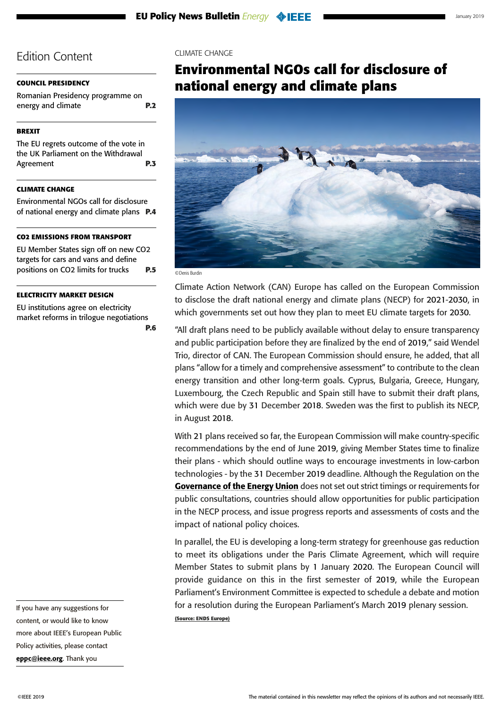#### <span id="page-3-0"></span>**[COUNCIL PRESIDENCY](#page-1-0)**

[Romanian Presidency programme on](#page-1-0)  [energy and climate](#page-1-0) **P.2**

#### **[BREXIT](#page-2-0)**

[The EU regrets outcome of the vote in](#page-2-0)  [the UK Parliament on the Withdrawal](#page-2-0)  [Agreement](#page-2-0) **P.3**

#### **CLIMATE CHANGE**

Environmental NGOs call for disclosure of national energy and climate plans **P.4**

#### **[CO2 EMISSIONS FROM TRANSPORT](#page-4-0)**

[EU Member States sign off on new CO2](#page-4-0)  [targets for cars and vans and define](#page-4-0)  [positions on CO2 limits for trucks](#page-4-0) **P.5**

#### **[ELECTRICITY MARKET DESIGN](#page-5-0)**

[EU institutions agree on electricity](#page-5-0)  [market reforms in trilogue negotiations](#page-5-0) **[P.6](#page-5-0)**

If you have any suggestions for content, or would like to know more about IEEE's European Public Policy activities, please contact [eppc@ieee.org](mailto:eppc%40ieee.org?subject=). Thank you

#### CLIMATE CHANGE

### **Environmental NGOs call for disclosure of national energy and climate plans**



©Denis Burdin

Climate Action Network (CAN) Europe has called on the European Commission to disclose the draft national energy and climate plans (NECP) for 2021-2030, in which governments set out how they plan to meet EU climate targets for 2030.

"All draft plans need to be publicly available without delay to ensure transparency and public participation before they are finalized by the end of 2019," said Wendel Trio, director of CAN. The European Commission should ensure, he added, that all plans "allow for a timely and comprehensive assessment" to contribute to the clean energy transition and other long-term goals. Cyprus, Bulgaria, Greece, Hungary, Luxembourg, the Czech Republic and Spain still have to submit their draft plans, which were due by 31 December 2018. Sweden was the first to publish its NECP, in August 2018.

With 21 plans received so far, the European Commission will make country-specific recommendations by the end of June 2019, giving Member States time to finalize their plans - which should outline ways to encourage investments in low-carbon technologies - by the 31 December 2019 deadline. Although the Regulation on the [Governance of the Energy Union](https://ec.europa.eu/energy/en/topics/energy-strategy-and-energy-union/governance-energy-union) does not set out strict timings or requirements for public consultations, countries should allow opportunities for public participation in the NECP process, and issue progress reports and assessments of costs and the impact of national policy choices.

In parallel, the EU is developing a long-term strategy for greenhouse gas reduction to meet its obligations under the Paris Climate Agreement, which will require Member States to submit plans by 1 January 2020. The European Council will provide guidance on this in the first semester of 2019, while the European Parliament's Environment Committee is expected to schedule a debate and motion for a resolution during the European Parliament's March 2019 plenary session. **(Source: ENDS Europe)**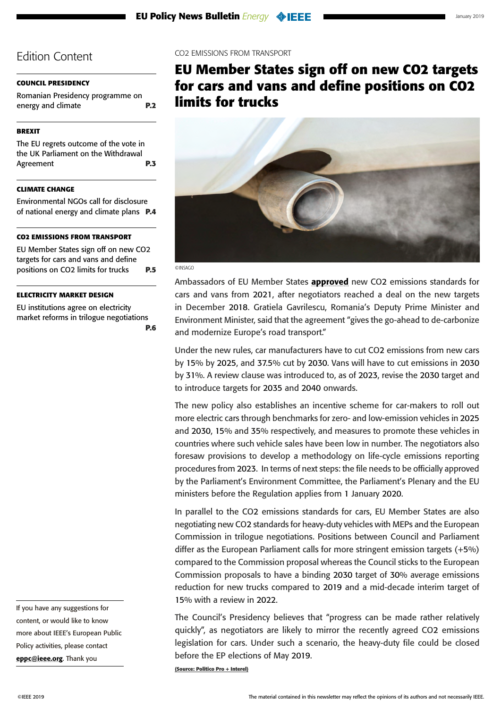#### <span id="page-4-0"></span>**[COUNCIL PRESIDENCY](#page-1-0)**

[Romanian Presidency programme on](#page-1-0)  [energy and climate](#page-1-0) **P.2**

### **[BREXIT](#page-2-0)**

[The EU regrets outcome of the vote in](#page-2-0)  [the UK Parliament on the Withdrawal](#page-2-0)  [Agreement](#page-2-0) **P.3**

#### **[CLIMATE CHANGE](#page-3-0)**

[Environmental NGOs call for disclosure](#page-3-0)  [of national energy and climate plans](#page-3-0) **P.4**

#### **CO2 EMISSIONS FROM TRANSPORT**

EU Member States sign off on new CO2 targets for cars and vans and define positions on CO2 limits for trucks **P.5**

#### **[ELECTRICITY MARKET DESIGN](#page-5-0)**

[EU institutions agree on electricity](#page-5-0)  [market reforms in trilogue negotiations](#page-5-0) **[P.6](#page-5-0)**

If you have any suggestions for content, or would like to know more about IEEE's European Public Policy activities, please contact [eppc@ieee.org](mailto:eppc%40ieee.org?subject=). Thank you

#### CO2 EMISSIONS FROM TRANSPORT

**EU Member States sign off on new CO2 targets for cars and vans and define positions on CO2 limits for trucks**



©INSAGO

Ambassadors of EU Member States **[approved](https://www.consilium.europa.eu/en/press/press-releases/2019/01/16/co2-emission-standards-for-cars-and-vans-council-confirms-agreement-on-stricter-limits/)** new CO2 emissions standards for cars and vans from 2021, after negotiators reached a deal on the new targets in December 2018. Gratiela Gavrilescu, Romania's Deputy Prime Minister and Environment Minister, said that the agreement "gives the go-ahead to de-carbonize and modernize Europe's road transport."

Under the new rules, car manufacturers have to cut CO2 emissions from new cars by 15% by 2025, and 37.5% cut by 2030. Vans will have to cut emissions in 2030 by 31%. A review clause was introduced to, as of 2023, revise the 2030 target and to introduce targets for 2035 and 2040 onwards.

The new policy also establishes an incentive scheme for car-makers to roll out more electric cars through benchmarks for zero- and low-emission vehicles in 2025 and 2030, 15% and 35% respectively, and measures to promote these vehicles in countries where such vehicle sales have been low in number. The negotiators also foresaw provisions to develop a methodology on life-cycle emissions reporting procedures from 2023. In terms of next steps: the file needs to be officially approved by the Parliament's Environment Committee, the Parliament's Plenary and the EU ministers before the Regulation applies from 1 January 2020.

In parallel to the CO2 emissions standards for cars, EU Member States are also negotiating new CO2 standards for heavy-duty vehicles with MEPs and the European Commission in trilogue negotiations. Positions between Council and Parliament differ as the European Parliament calls for more stringent emission targets (+5%) compared to the Commission proposal whereas the Council sticks to the European Commission proposals to have a binding 2030 target of 30% average emissions reduction for new trucks compared to 2019 and a mid-decade interim target of 15% with a review in 2022.

The Council's Presidency believes that "progress can be made rather relatively quickly", as negotiators are likely to mirror the recently agreed CO2 emissions legislation for cars. Under such a scenario, the heavy-duty file could be closed before the EP elections of May 2019.

**(Source: Politico Pro + Interel)**